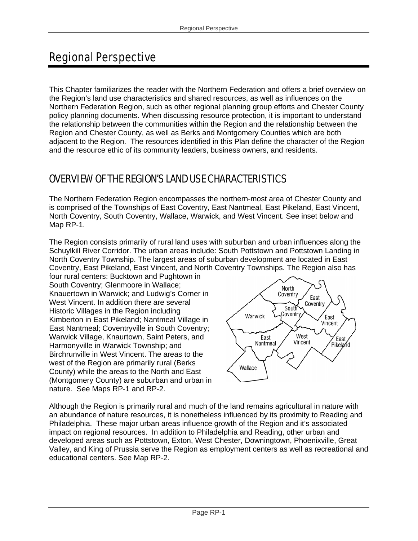# Regional Perspective

This Chapter familiarizes the reader with the Northern Federation and offers a brief overview on the Region's land use characteristics and shared resources, as well as influences on the Northern Federation Region, such as other regional planning group efforts and Chester County policy planning documents. When discussing resource protection, it is important to understand the relationship between the communities within the Region and the relationship between the Region and Chester County, as well as Berks and Montgomery Counties which are both adjacent to the Region. The resources identified in this Plan define the character of the Region and the resource ethic of its community leaders, business owners, and residents.

# OVERVIEW OF THE REGION'S LAND USE CHARACTERISTICS

The Northern Federation Region encompasses the northern-most area of Chester County and is comprised of the Townships of East Coventry, East Nantmeal, East Pikeland, East Vincent, North Coventry, South Coventry, Wallace, Warwick, and West Vincent. See inset below and Map RP-1.

The Region consists primarily of rural land uses with suburban and urban influences along the Schuylkill River Corridor. The urban areas include: South Pottstown and Pottstown Landing in North Coventry Township. The largest areas of suburban development are located in East Coventry, East Pikeland, East Vincent, and North Coventry Townships. The Region also has

four rural centers: Bucktown and Pughtown in South Coventry; Glenmoore in Wallace; Knauertown in Warwick; and Ludwig's Corner in West Vincent. In addition there are several Historic Villages in the Region including Kimberton in East Pikeland; Nantmeal Village in East Nantmeal; Coventryville in South Coventry; Warwick Village, Knaurtown, Saint Peters, and Harmonyville in Warwick Township; and Birchrunville in West Vincent. The areas to the west of the Region are primarily rural (Berks County) while the areas to the North and East (Montgomery County) are suburban and urban in nature. See Maps RP-1 and RP-2.



Although the Region is primarily rural and much of the land remains agricultural in nature with an abundance of nature resources, it is nonetheless influenced by its proximity to Reading and Philadelphia. These major urban areas influence growth of the Region and it's associated impact on regional resources. In addition to Philadelphia and Reading, other urban and developed areas such as Pottstown, Exton, West Chester, Downingtown, Phoenixville, Great Valley, and King of Prussia serve the Region as employment centers as well as recreational and educational centers. See Map RP-2.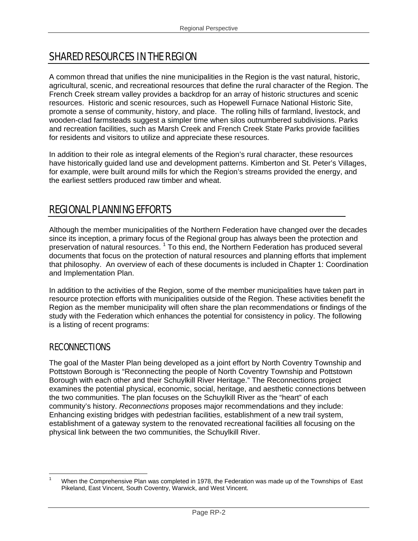## SHARED RESOURCES IN THE REGION

A common thread that unifies the nine municipalities in the Region is the vast natural, historic, agricultural, scenic, and recreational resources that define the rural character of the Region. The French Creek stream valley provides a backdrop for an array of historic structures and scenic resources. Historic and scenic resources, such as Hopewell Furnace National Historic Site, promote a sense of community, history, and place. The rolling hills of farmland, livestock, and wooden-clad farmsteads suggest a simpler time when silos outnumbered subdivisions. Parks and recreation facilities, such as Marsh Creek and French Creek State Parks provide facilities for residents and visitors to utilize and appreciate these resources.

In addition to their role as integral elements of the Region's rural character, these resources have historically guided land use and development patterns. Kimberton and St. Peter's Villages, for example, were built around mills for which the Region's streams provided the energy, and the earliest settlers produced raw timber and wheat.

## REGIONAL PLANNING EFFORTS

Although the member municipalities of the Northern Federation have changed over the decades since its inception, a primary focus of the Regional group has always been the protection and preservation of natural resources.<sup>1</sup> To this end, the Northern Federation has produced several documents that focus on the protection of natural resources and planning efforts that implement that philosophy. An overview of each of these documents is included in Chapter 1: Coordination and Implementation Plan.

In addition to the activities of the Region, some of the member municipalities have taken part in resource protection efforts with municipalities outside of the Region. These activities benefit the Region as the member municipality will often share the plan recommendations or findings of the study with the Federation which enhances the potential for consistency in policy. The following is a listing of recent programs:

#### **RECONNECTIONS**

The goal of the Master Plan being developed as a joint effort by North Coventry Township and Pottstown Borough is "Reconnecting the people of North Coventry Township and Pottstown Borough with each other and their Schuylkill River Heritage." The Reconnections project examines the potential physical, economic, social, heritage, and aesthetic connections between the two communities. The plan focuses on the Schuylkill River as the "heart" of each community's history. *Reconnections* proposes major recommendations and they include: Enhancing existing bridges with pedestrian facilities, establishment of a new trail system, establishment of a gateway system to the renovated recreational facilities all focusing on the physical link between the two communities, the Schuylkill River.

<sup>1</sup> 1 When the Comprehensive Plan was completed in 1978, the Federation was made up of the Townships of East Pikeland, East Vincent, South Coventry, Warwick, and West Vincent.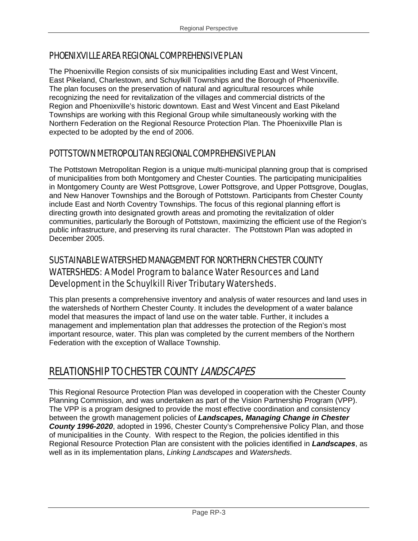#### PHOENIXVILLE AREA REGIONAL COMPREHENSIVE PLAN

The Phoenixville Region consists of six municipalities including East and West Vincent, East Pikeland, Charlestown, and Schuylkill Townships and the Borough of Phoenixville. The plan focuses on the preservation of natural and agricultural resources while recognizing the need for revitalization of the villages and commercial districts of the Region and Phoenixville's historic downtown. East and West Vincent and East Pikeland Townships are working with this Regional Group while simultaneously working with the Northern Federation on the Regional Resource Protection Plan. The Phoenixville Plan is expected to be adopted by the end of 2006.

#### POTTSTOWN METROPOLITAN REGIONAL COMPREHENSIVE PLAN

The Pottstown Metropolitan Region is a unique multi-municipal planning group that is comprised of municipalities from both Montgomery and Chester Counties. The participating municipalities in Montgomery County are West Pottsgrove, Lower Pottsgrove, and Upper Pottsgrove, Douglas, and New Hanover Townships and the Borough of Pottstown. Participants from Chester County include East and North Coventry Townships. The focus of this regional planning effort is directing growth into designated growth areas and promoting the revitalization of older communities, particularly the Borough of Pottstown, maximizing the efficient use of the Region's public infrastructure, and preserving its rural character. The Pottstown Plan was adopted in December 2005.

### SUSTAINABLE WATERSHED MANAGEMENT FOR NORTHERN CHESTER COUNTY WATERSHEDS: A Model Program to balance Water Resources and Land Development in the Schuylkill River Tributary Watersheds.

This plan presents a comprehensive inventory and analysis of water resources and land uses in the watersheds of Northern Chester County. It includes the development of a water balance model that measures the impact of land use on the water table. Further, it includes a management and implementation plan that addresses the protection of the Region's most important resource, water. This plan was completed by the current members of the Northern Federation with the exception of Wallace Township.

# RELATIONSHIP TO CHESTER COUNTY LANDSCAPES

This Regional Resource Protection Plan was developed in cooperation with the Chester County Planning Commission, and was undertaken as part of the Vision Partnership Program (VPP). The VPP is a program designed to provide the most effective coordination and consistency between the growth management policies of *Landscapes, Managing Change in Chester County 1996-2020*, adopted in 1996, Chester County's Comprehensive Policy Plan, and those of municipalities in the County. With respect to the Region, the policies identified in this Regional Resource Protection Plan are consistent with the policies identified in *Landscapes*, as well as in its implementation plans, *Linking Landscapes* and *Watersheds*.